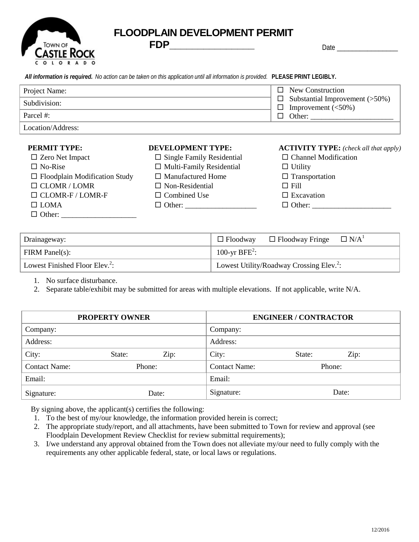

## **FLOODPLAIN DEVELOPMENT PERMIT**

**FDP\_\_\_\_\_\_\_\_\_\_\_\_\_\_\_** Date \_\_\_\_\_\_\_\_\_\_\_\_\_\_\_\_

|                                      | All information is required. No action can be taken on this application until all information is provided. PLEASE PRINT LEGIBLY. |                                              |
|--------------------------------------|----------------------------------------------------------------------------------------------------------------------------------|----------------------------------------------|
| Project Name:                        |                                                                                                                                  | New Construction<br>П                        |
| Subdivision:                         | Substantial Improvement $($ >50%)<br>ப<br>Improvement $(<50\%)$<br>ப                                                             |                                              |
| Parcel #:                            | Other:<br>ப                                                                                                                      |                                              |
| Location/Address:                    |                                                                                                                                  |                                              |
| <b>PERMIT TYPE:</b>                  | <b>DEVELOPMENT TYPE:</b>                                                                                                         | <b>ACTIVITY TYPE:</b> (check all that apply) |
| $\Box$ Zero Net Impact               | $\Box$ Single Family Residential                                                                                                 | $\Box$ Channel Modification                  |
| $\Box$ No-Rise                       | $\Box$ Multi-Family Residential                                                                                                  | $\Box$ Utility                               |
| $\Box$ Floodplain Modification Study | $\Box$ Manufactured Home                                                                                                         | $\Box$ Transportation                        |
|                                      | $\Box$ Non Decidential                                                                                                           | $\Box$ $\Sigma$ 11                           |

| $\Box$ Floodplain Modification Study | $\Box$ Manufactured Home | $\Box$ Transportation |
|--------------------------------------|--------------------------|-----------------------|
| $\Box$ CLOMR / LOMR                  | $\Box$ Non-Residential   | $\Box$ Fill           |
| $\Box$ CLOMR-F / LOMR-F              | $\Box$ Combined Use      | $\Box$ Excavation     |
| $\Box$ LOMA                          |                          | $\Box$ Other:         |
| $\Box$ Other:                        |                          |                       |

| Drainageway:                               | $\Box$ Floodway $\Box$ Floodway Fringe $\Box$ N/A <sup>1</sup> |
|--------------------------------------------|----------------------------------------------------------------|
| $\mid$ FIRM Panel(s):                      | 100-yr BFE <sup>2</sup> :                                      |
| Lowest Finished Floor Elev. <sup>2</sup> : | Lowest Utility/Roadway Crossing Elev. <sup>2</sup> :           |

1. No surface disturbance.

2. Separate table/exhibit may be submitted for areas with multiple elevations. If not applicable, write N/A.

| <b>PROPERTY OWNER</b> |        |      |                      | <b>ENGINEER / CONTRACTOR</b> |        |  |
|-----------------------|--------|------|----------------------|------------------------------|--------|--|
| Company:              |        |      | Company:             |                              |        |  |
| Address:              |        |      | Address:             |                              |        |  |
| City:                 | State: | Zip: | City:                | State:                       | Zip:   |  |
| <b>Contact Name:</b>  | Phone: |      | <b>Contact Name:</b> |                              | Phone: |  |
| Email:                |        |      | Email:               |                              |        |  |
| Signature:            | Date:  |      | Signature:           |                              | Date:  |  |

By signing above, the applicant(s) certifies the following:

1. To the best of my/our knowledge, the information provided herein is correct;

- 2. The appropriate study/report, and all attachments, have been submitted to Town for review and approval (see Floodplain Development Review Checklist for review submittal requirements);
- 3. I/we understand any approval obtained from the Town does not alleviate my/our need to fully comply with the requirements any other applicable federal, state, or local laws or regulations.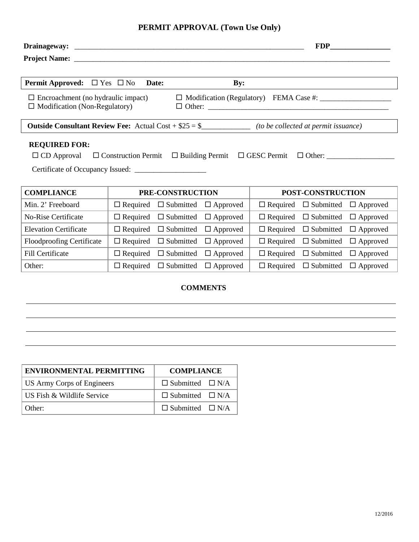### **PERMIT APPROVAL (Town Use Only)**

| <b>Permit Approved:</b> $\Box$ Yes $\Box$ No <b>Date:</b>                                                                                 |                                                                                                                     | $\mathbf{By:}$ |                   |  |  |
|-------------------------------------------------------------------------------------------------------------------------------------------|---------------------------------------------------------------------------------------------------------------------|----------------|-------------------|--|--|
| $\Box$ Modification (Regulatory) FEMA Case #: $\Box$<br>$\Box$ Encroachment (no hydraulic impact)<br>$\Box$ Modification (Non-Regulatory) |                                                                                                                     |                |                   |  |  |
|                                                                                                                                           | <b>Outside Consultant Review Fee:</b> Actual Cost + $$25 = $$ ________________ (to be collected at permit issuance) |                |                   |  |  |
| <b>REQUIRED FOR:</b>                                                                                                                      |                                                                                                                     |                |                   |  |  |
| $\Box$ CD Approval $\Box$ Construction Permit $\Box$ Building Permit $\Box$ GESC Permit $\Box$ Other:                                     |                                                                                                                     |                |                   |  |  |
|                                                                                                                                           |                                                                                                                     |                |                   |  |  |
| <b>COMPLIANCE</b>                                                                                                                         | PRE-CONSTRUCTION                                                                                                    |                | POST-CONSTRUCTION |  |  |

| Min. 2' Freeboard                | $\Box$ Required $\Box$ Submitted $\Box$ Approved |                 | $\Box$ Required $\Box$ Submitted $\Box$ Approved |  |
|----------------------------------|--------------------------------------------------|-----------------|--------------------------------------------------|--|
| <b>No-Rise Certificate</b>       | $\Box$ Required $\Box$ Submitted $\Box$ Approved |                 | $\Box$ Required $\Box$ Submitted $\Box$ Approved |  |
| <b>Elevation Certificate</b>     | $\Box$ Required $\Box$ Submitted $\Box$ Approved |                 | $\Box$ Required $\Box$ Submitted $\Box$ Approved |  |
| <b>Floodproofing Certificate</b> | $\Box$ Required $\Box$ Submitted $\Box$ Approved |                 | $\Box$ Required $\Box$ Submitted $\Box$ Approved |  |
| Fill Certificate                 | $\Box$ Required $\Box$ Submitted                 | $\Box$ Approved | $\Box$ Required $\Box$ Submitted $\Box$ Approved |  |
| Other:                           | $\Box$ Required $\Box$ Submitted                 | $\Box$ Approved | $\Box$ Required $\Box$ Submitted $\Box$ Approved |  |

#### **COMMENTS**

| <b>ENVIRONMENTAL PERMITTING</b>   | <b>COMPLIANCE</b>           |  |  |
|-----------------------------------|-----------------------------|--|--|
| <b>US Army Corps of Engineers</b> | $\Box$ Submitted $\Box$ N/A |  |  |
| US Fish & Wildlife Service        | $\Box$ Submitted $\Box$ N/A |  |  |
| Other:                            | $\Box$ Submitted $\Box$ N/A |  |  |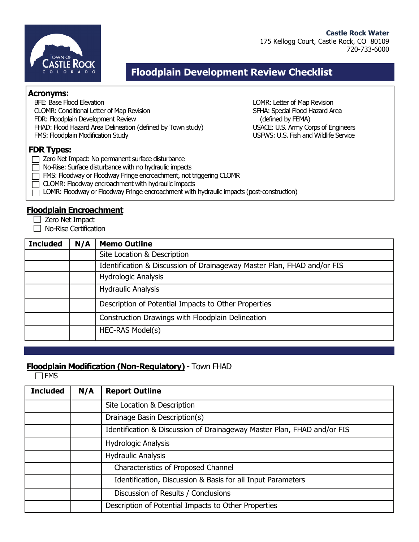



## **Floodplain Development Review Checklist**

#### **Acronyms:**

BFE: Base Flood Elevation LOMR: Letter of Map Revision CLOMR: Conditional Letter of Map Revision SFHA: Special Flood Hazard Area FDR: Floodplain Development Review (defined by FEMA) FHAD: Flood Hazard Area Delineation (defined by Town study) USACE: U.S. Army Corps of Engineers FMS: Floodplain Modification Study entitled and Millen Service USFWS: U.S. Fish and Wildlife Service

#### **FDR Types:**

- Zero Net Impact: No permanent surface disturbance
- $\Box$  No-Rise: Surface disturbance with no hydraulic impacts
- FMS: Floodway or Floodway Fringe encroachment, not triggering CLOMR
- $\Box$  CLOMR: Floodway encroachment with hydraulic impacts
	- LOMR: Floodway or Floodway Fringe encroachment with hydraulic impacts (post-construction)

### **Floodplain Encroachment**

- $\Box$  Zero Net Impact
- $\Box$  No-Rise Certification

| <b>Included</b> | N/A | <b>Memo Outline</b>                                                     |
|-----------------|-----|-------------------------------------------------------------------------|
|                 |     | Site Location & Description                                             |
|                 |     | Identification & Discussion of Drainageway Master Plan, FHAD and/or FIS |
|                 |     | <b>Hydrologic Analysis</b>                                              |
|                 |     | <b>Hydraulic Analysis</b>                                               |
|                 |     | Description of Potential Impacts to Other Properties                    |
|                 |     | Construction Drawings with Floodplain Delineation                       |
|                 |     | HEC-RAS Model(s)                                                        |

### **Floodplain Modification (Non-Regulatory)** - Town FHAD

 $\Box$ FMS

| <b>Included</b> | N/A | <b>Report Outline</b>                                                   |
|-----------------|-----|-------------------------------------------------------------------------|
|                 |     | Site Location & Description                                             |
|                 |     | Drainage Basin Description(s)                                           |
|                 |     | Identification & Discussion of Drainageway Master Plan, FHAD and/or FIS |
|                 |     | <b>Hydrologic Analysis</b>                                              |
|                 |     | <b>Hydraulic Analysis</b>                                               |
|                 |     | <b>Characteristics of Proposed Channel</b>                              |
|                 |     | Identification, Discussion & Basis for all Input Parameters             |
|                 |     | Discussion of Results / Conclusions                                     |
|                 |     | Description of Potential Impacts to Other Properties                    |